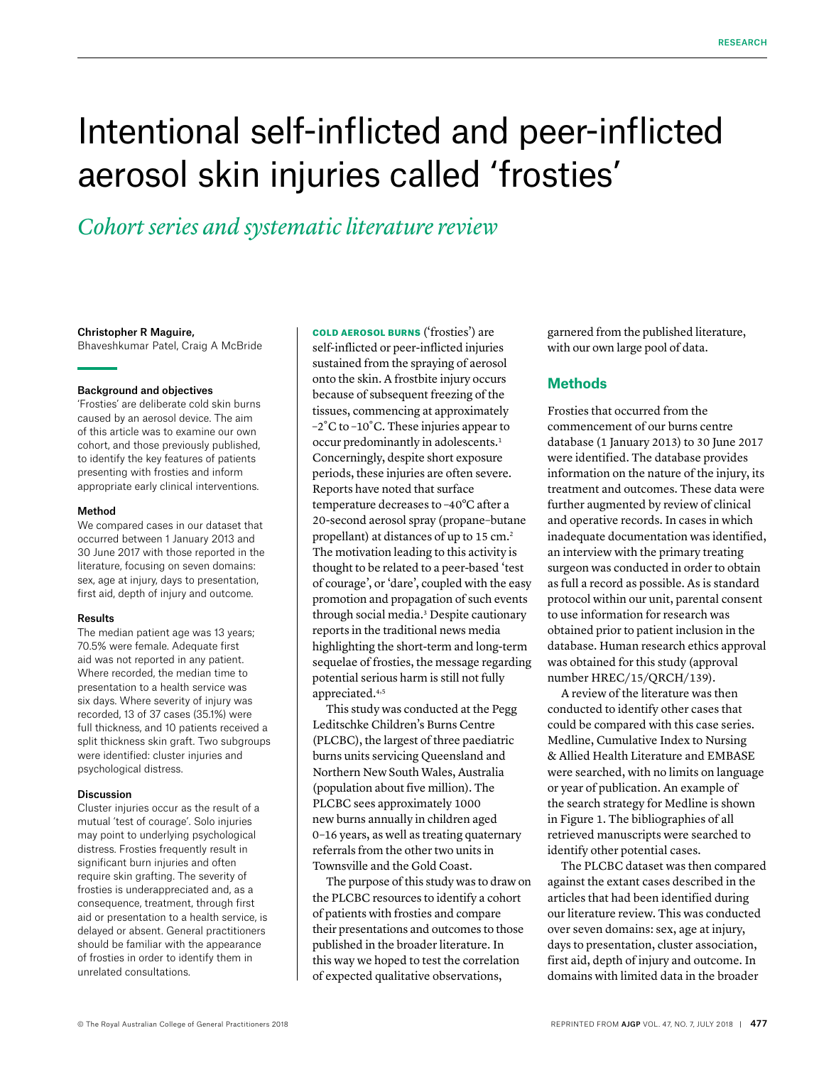# Intentional self-inflicted and peer-inflicted aerosol skin injuries called 'frosties'

*Cohort series and systematic literature review*

## Christopher R Maguire,

Bhaveshkumar Patel, Craig A McBride

## Background and objectives

'Frosties' are deliberate cold skin burns caused by an aerosol device. The aim of this article was to examine our own cohort, and those previously published, to identify the key features of patients presenting with frosties and inform appropriate early clinical interventions.

#### Method

We compared cases in our dataset that occurred between 1 January 2013 and 30 June 2017 with those reported in the literature, focusing on seven domains: sex, age at injury, days to presentation, first aid, depth of injury and outcome.

#### Results

The median patient age was 13 years; 70.5% were female. Adequate first aid was not reported in any patient. Where recorded, the median time to presentation to a health service was six days. Where severity of injury was recorded, 13 of 37 cases (35.1%) were full thickness, and 10 patients received a split thickness skin graft. Two subgroups were identified: cluster injuries and psychological distress.

#### Discussion

Cluster injuries occur as the result of a mutual 'test of courage'. Solo injuries may point to underlying psychological distress. Frosties frequently result in significant burn injuries and often require skin grafting. The severity of frosties is underappreciated and, as a consequence, treatment, through first aid or presentation to a health service, is delayed or absent. General practitioners should be familiar with the appearance of frosties in order to identify them in unrelated consultations.

COLD AEROSOL BURNS ('frosties') are self-inflicted or peer-inflicted injuries sustained from the spraying of aerosol onto the skin. A frostbite injury occurs because of subsequent freezing of the tissues, commencing at approximately –2˚C to –10˚C. These injuries appear to occur predominantly in adolescents.1 Concerningly, despite short exposure periods, these injuries are often severe. Reports have noted that surface temperature decreases to –40°C after a 20-second aerosol spray (propane–butane propellant) at distances of up to 15 cm.2 The motivation leading to this activity is thought to be related to a peer-based 'test of courage', or 'dare', coupled with the easy promotion and propagation of such events through social media.3 Despite cautionary reports in the traditional news media highlighting the short-term and long-term sequelae of frosties, the message regarding potential serious harm is still not fully appreciated.4,5

This study was conducted at the Pegg Leditschke Children's Burns Centre (PLCBC), the largest of three paediatric burns units servicing Queensland and Northern New South Wales, Australia (population about five million). The PLCBC sees approximately 1000 new burns annually in children aged 0–16 years, as well as treating quaternary referrals from the other two units in Townsville and the Gold Coast.

The purpose of this study was to draw on the PLCBC resources to identify a cohort of patients with frosties and compare their presentations and outcomes to those published in the broader literature. In this way we hoped to test the correlation of expected qualitative observations,

garnered from the published literature, with our own large pool of data.

# **Methods**

Frosties that occurred from the commencement of our burns centre database (1 January 2013) to 30 June 2017 were identified. The database provides information on the nature of the injury, its treatment and outcomes. These data were further augmented by review of clinical and operative records. In cases in which inadequate documentation was identified, an interview with the primary treating surgeon was conducted in order to obtain as full a record as possible. As is standard protocol within our unit, parental consent to use information for research was obtained prior to patient inclusion in the database. Human research ethics approval was obtained for this study (approval number HREC/15/QRCH/139).

A review of the literature was then conducted to identify other cases that could be compared with this case series. Medline, Cumulative Index to Nursing & Allied Health Literature and EMBASE were searched, with no limits on language or year of publication. An example of the search strategy for Medline is shown in Figure 1. The bibliographies of all retrieved manuscripts were searched to identify other potential cases.

The PLCBC dataset was then compared against the extant cases described in the articles that had been identified during our literature review. This was conducted over seven domains: sex, age at injury, days to presentation, cluster association, first aid, depth of injury and outcome. In domains with limited data in the broader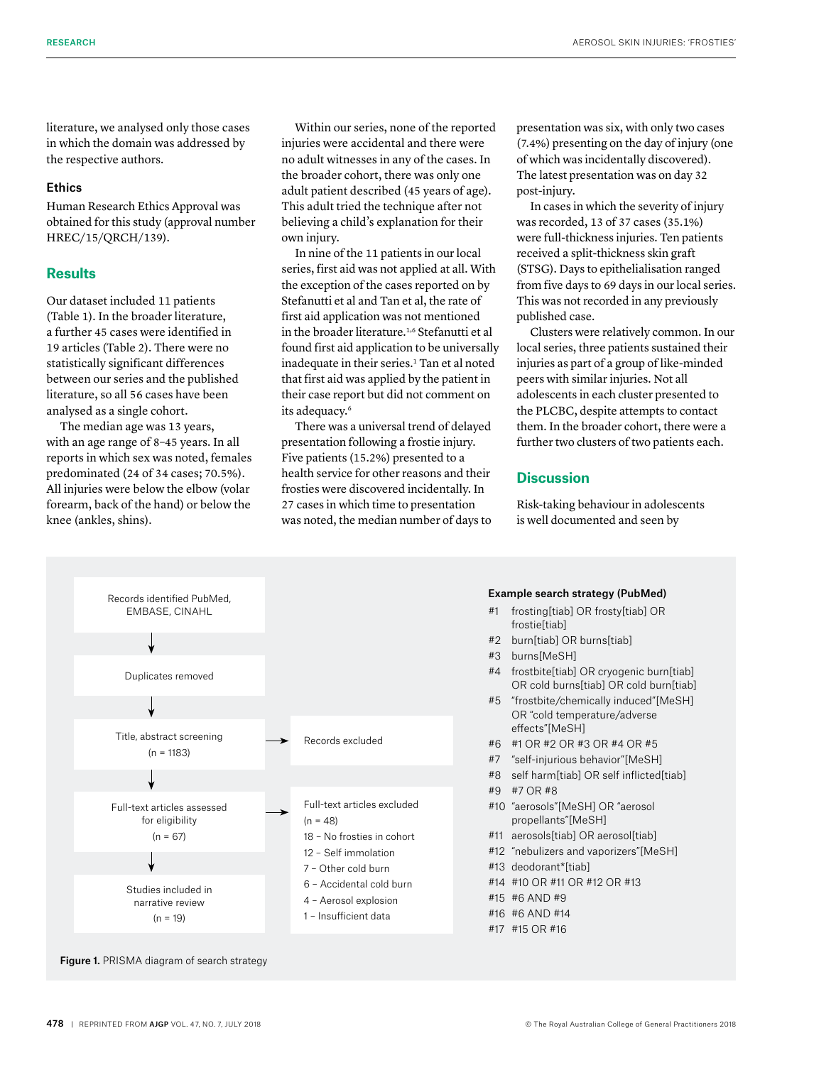literature, we analysed only those cases in which the domain was addressed by the respective authors.

## Ethics

Human Research Ethics Approval was obtained for this study (approval number HREC/15/QRCH/139).

# **Results**

Our dataset included 11 patients (Table 1). In the broader literature, a further 45 cases were identified in 19 articles (Table 2). There were no statistically significant differences between our series and the published literature, so all 56 cases have been analysed as a single cohort.

The median age was 13 years, with an age range of 8–45 years. In all reports in which sex was noted, females predominated (24 of 34 cases; 70.5%). All injuries were below the elbow (volar forearm, back of the hand) or below the knee (ankles, shins).

Within our series, none of the reported injuries were accidental and there were no adult witnesses in any of the cases. In the broader cohort, there was only one adult patient described (45 years of age). This adult tried the technique after not believing a child's explanation for their own injury.

In nine of the 11 patients in our local series, first aid was not applied at all. With the exception of the cases reported on by Stefanutti et al and Tan et al, the rate of first aid application was not mentioned in the broader literature.<sup>1,6</sup> Stefanutti et al found first aid application to be universally inadequate in their series.<sup>1</sup> Tan et al noted that first aid was applied by the patient in their case report but did not comment on its adequacy.<sup>6</sup>

There was a universal trend of delayed presentation following a frostie injury. Five patients (15.2%) presented to a health service for other reasons and their frosties were discovered incidentally. In 27 cases in which time to presentation was noted, the median number of days to presentation was six, with only two cases (7.4%) presenting on the day of injury (one of which was incidentally discovered). The latest presentation was on day 32 post-injury.

In cases in which the severity of injury was recorded, 13 of 37 cases (35.1%) were full-thickness injuries. Ten patients received a split-thickness skin graft (STSG). Days to epithelialisation ranged from five days to 69 days in our local series. This was not recorded in any previously published case.

Clusters were relatively common. In our local series, three patients sustained their injuries as part of a group of like-minded peers with similar injuries. Not all adolescents in each cluster presented to the PLCBC, despite attempts to contact them. In the broader cohort, there were a further two clusters of two patients each.

# **Discussion**

Risk-taking behaviour in adolescents is well documented and seen by



#### Example search strategy (PubMed)

- #1 frosting[tiab] OR frosty[tiab] OR frostie[tiab]
- #2 burn[tiab] OR burns[tiab]
- #3 burns[MeSH]
- #4 frostbite[tiab] OR cryogenic burn[tiab] OR cold burns[tiab] OR cold burn[tiab]
- #5 "frostbite/chemically induced"[MeSH] OR "cold temperature/adverse effects"[MeSH]
- #6 #1 OR #2 OR #3 OR #4 OR #5
- #7 "self-injurious behavior"[MeSH]
- #8 self harm[tiab] OR self inflicted[tiab]
- #9 #7 OR #8
- #10 "aerosols"[MeSH] OR "aerosol propellants"[MeSH]
- #11 aerosols[tiab] OR aerosol[tiab]
- #12 "nebulizers and vaporizers"[MeSH]
- #13 deodorant\*[tiab]
- #14 #10 OR #11 OR #12 OR #13
- #15 #6 AND #9
- #16 #6 AND #14
- #17 #15 OR #16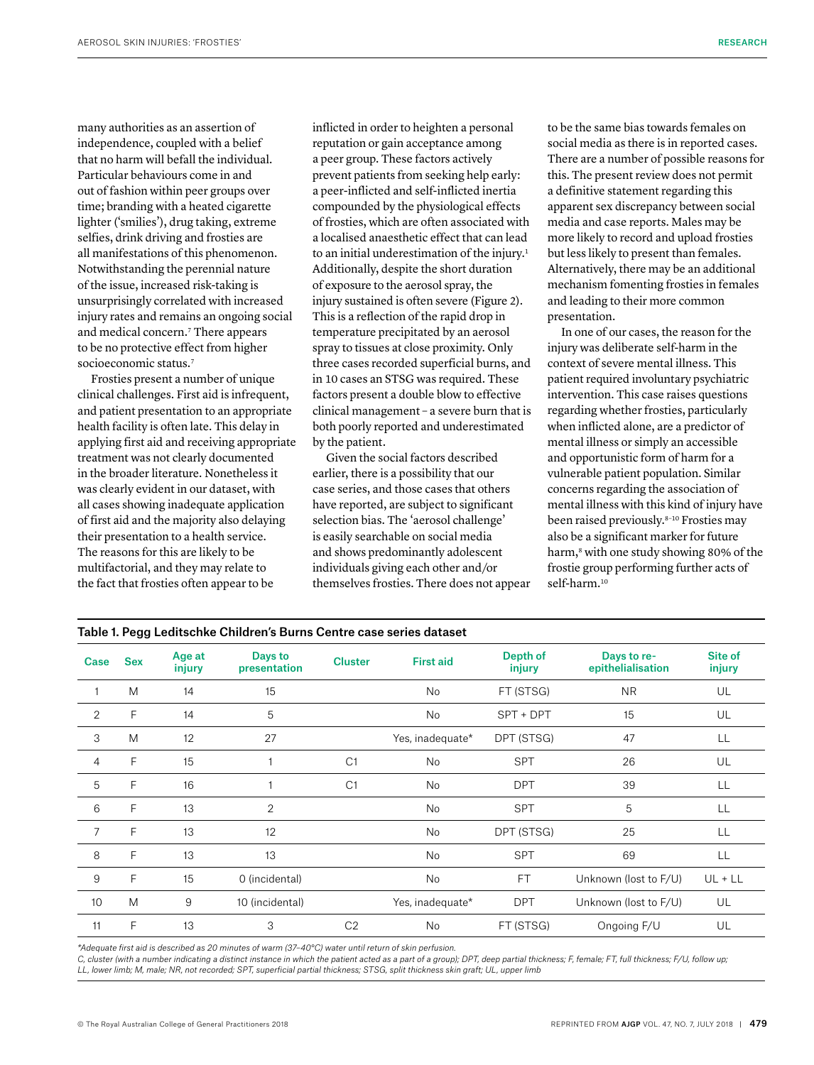many authorities as an assertion of independence, coupled with a belief that no harm will befall the individual. Particular behaviours come in and out of fashion within peer groups over time; branding with a heated cigarette lighter ('smilies'), drug taking, extreme selfies, drink driving and frosties are all manifestations of this phenomenon. Notwithstanding the perennial nature of the issue, increased risk-taking is unsurprisingly correlated with increased injury rates and remains an ongoing social and medical concern.7 There appears to be no protective effect from higher socioeconomic status.<sup>7</sup>

Frosties present a number of unique clinical challenges. First aid is infrequent, and patient presentation to an appropriate health facility is often late. This delay in applying first aid and receiving appropriate treatment was not clearly documented in the broader literature. Nonetheless it was clearly evident in our dataset, with all cases showing inadequate application of first aid and the majority also delaying their presentation to a health service. The reasons for this are likely to be multifactorial, and they may relate to the fact that frosties often appear to be

inflicted in order to heighten a personal reputation or gain acceptance among a peer group. These factors actively prevent patients from seeking help early: a peer-inflicted and self-inflicted inertia compounded by the physiological effects of frosties, which are often associated with a localised anaesthetic effect that can lead to an initial underestimation of the injury.<sup>1</sup> Additionally, despite the short duration of exposure to the aerosol spray, the injury sustained is often severe (Figure 2). This is a reflection of the rapid drop in temperature precipitated by an aerosol spray to tissues at close proximity. Only three cases recorded superficial burns, and in 10 cases an STSG was required. These factors present a double blow to effective clinical management – a severe burn that is both poorly reported and underestimated by the patient.

Given the social factors described earlier, there is a possibility that our case series, and those cases that others have reported, are subject to significant selection bias. The 'aerosol challenge' is easily searchable on social media and shows predominantly adolescent individuals giving each other and/or themselves frosties. There does not appear to be the same bias towards females on social media as there is in reported cases. There are a number of possible reasons for this. The present review does not permit a definitive statement regarding this apparent sex discrepancy between social media and case reports. Males may be more likely to record and upload frosties but less likely to present than females. Alternatively, there may be an additional mechanism fomenting frosties in females and leading to their more common presentation.

In one of our cases, the reason for the injury was deliberate self-harm in the context of severe mental illness. This patient required involuntary psychiatric intervention. This case raises questions regarding whether frosties, particularly when inflicted alone, are a predictor of mental illness or simply an accessible and opportunistic form of harm for a vulnerable patient population. Similar concerns regarding the association of mental illness with this kind of injury have been raised previously.8–10 Frosties may also be a significant marker for future harm,<sup>8</sup> with one study showing 80% of the frostie group performing further acts of self-harm.<sup>10</sup>

| Case           | <b>Sex</b>   | Age at<br>injury | Days to<br>presentation | <b>Cluster</b> | <b>First aid</b> | Depth of<br>injury | Days to re-<br>epithelialisation | Site of<br>injury |
|----------------|--------------|------------------|-------------------------|----------------|------------------|--------------------|----------------------------------|-------------------|
|                | M            | 14               | 15                      |                | No               | FT (STSG)          | <b>NR</b>                        | UL                |
| $\overline{2}$ | F            | 14               | 5                       |                | No               | SPT + DPT          | 15                               | UL                |
| 3              | M            | 12               | 27                      |                | Yes, inadequate* | DPT (STSG)         | 47                               | LL                |
| 4              | F            | 15               |                         | C1             | No               | <b>SPT</b>         | 26                               | UL                |
| 5              | $\mathsf{F}$ | 16               |                         | C1             | No               | <b>DPT</b>         | 39                               | LL                |
| 6              | F            | 13               | $\overline{2}$          |                | No               | <b>SPT</b>         | 5                                | LL                |
| 7              | F            | 13               | 12                      |                | No               | DPT (STSG)         | 25                               | LL                |
| 8              | F            | 13               | 13                      |                | No               | <b>SPT</b>         | 69                               | LL                |
| 9              | F            | 15               | 0 (incidental)          |                | No               | <b>FT</b>          | Unknown (lost to F/U)            | $UL + LL$         |
| 10             | M            | 9                | 10 (incidental)         |                | Yes, inadequate* | <b>DPT</b>         | Unknown (lost to F/U)            | UL                |
| 11             | F            | 13               | 3                       | C <sub>2</sub> | No               | FT (STSG)          | Ongoing F/U                      | UL                |

*\*Adequate first aid is described as 20 minutes of warm (37–40°C) water until return of skin perfusion.*

*C, cluster (with a number indicating a distinct instance in which the patient acted as a part of a group); DPT, deep partial thickness; F, female; FT, full thickness; F/U, follow up; LL, lower limb; M, male; NR, not recorded; SPT, superficial partial thickness; STSG, split thickness skin graft; UL, upper limb*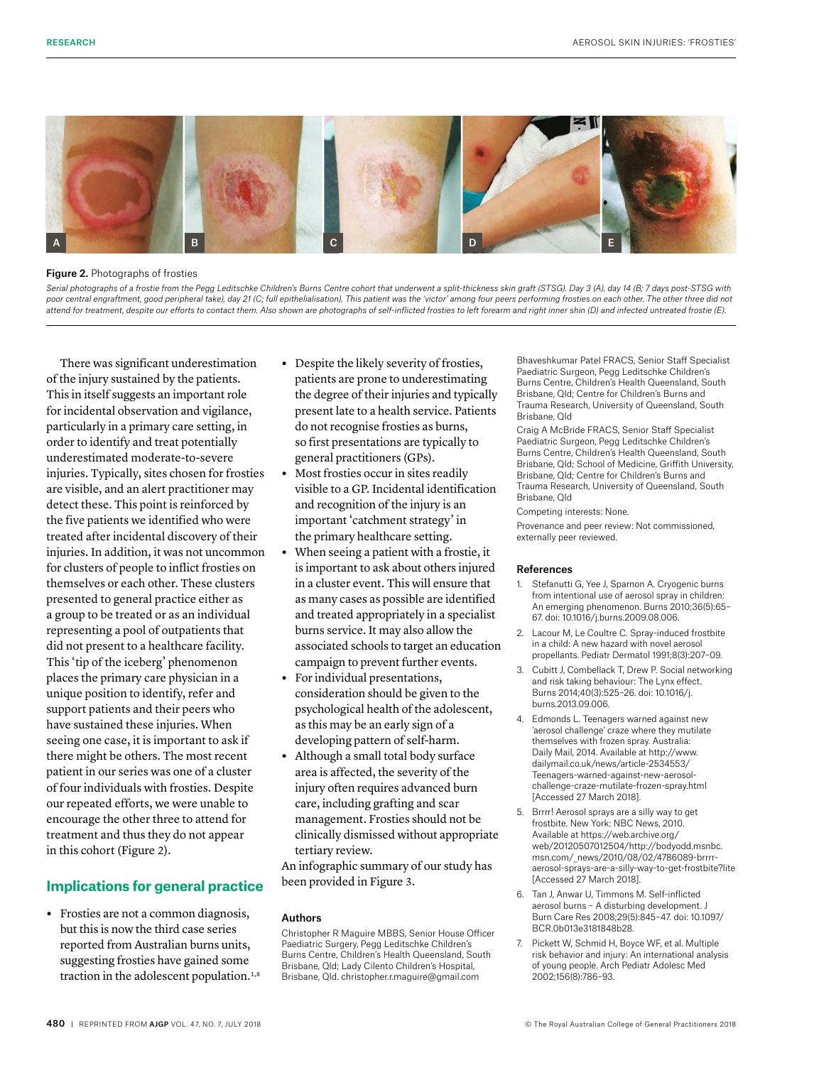

Figure 2. Photographs of frosties

Serial photographs of a frostie from the Pegg Leditschke Children's Burns Centre cohort that underwent a split-thickness skin graft (STSG). Day 3 (A), day 14 (B; 7 days post-STSG with poor central engraftment, good peripheral take), day 21 (C; full epithelialisation). This patient was the 'victor' among four peers performing frosties on each other. The other three did not *attend for treatment, despite our efforts to contact them. Also shown are photographs of self-inflicted frosties to left forearm and right inner shin (D) and infected untreated frostie (E).* 

There was significant underestimation of the injury sustained by the patients. This in itself suggests an important role for incidental observation and vigilance, particularly in a primary care setting, in order to identify and treat potentially underestimated moderate-to-severe injuries. Typically, sites chosen for frosties are visible, and an alert practitioner may detect these. This point is reinforced by the five patients we identified who were treated after incidental discovery of their injuries. In addition, it was not uncommon for clusters of people to inflict frosties on themselves or each other. These clusters presented to general practice either as a group to be treated or as an individual representing a pool of outpatients that did not present to a healthcare facility. This 'tip of the iceberg' phenomenon places the primary care physician in a unique position to identify, refer and support patients and their peers who have sustained these injuries. When seeing one case, it is important to ask if there might be others. The most recent patient in our series was one of a cluster of four individuals with frosties. Despite our repeated efforts, we were unable to encourage the other three to attend for treatment and thus they do not appear in this cohort (Figure 2).

# **Implications for general practice**

**•** Frosties are not a common diagnosis, but this is now the third case series reported from Australian burns units, suggesting frosties have gained some traction in the adolescent population.<sup>1,8</sup>

- **•** Despite the likely severity of frosties, patients are prone to underestimating the degree of their injuries and typically present late to a health service. Patients do not recognise frosties as burns, so first presentations are typically to general practitioners (GPs).
- **•** Most frosties occur in sites readily visible to a GP. Incidental identification and recognition of the injury is an important 'catchment strategy' in the primary healthcare setting.
- **•** When seeing a patient with a frostie, it is important to ask about others injured in a cluster event. This will ensure that as many cases as possible are identified and treated appropriately in a specialist burns service. It may also allow the associated schools to target an education campaign to prevent further events.
- **•** For individual presentations, consideration should be given to the psychological health of the adolescent, as this may be an early sign of a developing pattern of self-harm.
- **•** Although a small total body surface area is affected, the severity of the injury often requires advanced burn care, including grafting and scar management. Frosties should not be clinically dismissed without appropriate tertiary review.

An infographic summary of our study has been provided in Figure 3.

## Authors

Christopher R Maguire MBBS, Senior House Officer Paediatric Surgery, Pegg Leditschke Children's Burns Centre, Children's Health Queensland, South Brisbane, Qld; Lady Cilento Children's Hospital, Brisbane, Qld. christopher.r.maguire@gmail.com

Bhaveshkumar Patel FRACS, Senior Staff Specialist Paediatric Surgeon, Pegg Leditschke Children's Burns Centre, Children's Health Queensland, South Brisbane, Qld; Centre for Children's Burns and Trauma Research, University of Queensland, South Brisbane, Qld

Craig A McBride FRACS, Senior Staff Specialist Paediatric Surgeon, Pegg Leditschke Children's Burns Centre, Children's Health Queensland, South Brisbane, Qld; School of Medicine, Griffith University, Brisbane, Qld; Centre for Children's Burns and Trauma Research, University of Queensland, South Brisbane, Qld

Competing interests: None.

Provenance and peer review: Not commissioned, externally peer reviewed.

### References

- 1. Stefanutti G, Yee J, Sparnon A. Cryogenic burns from intentional use of aerosol spray in children: An emerging phenomenon. Burns 2010;36(5):65– 67. doi: 10.1016/j.burns.2009.08.006.
- 2. Lacour M, Le Coultre C. Spray-induced frostbite in a child: A new hazard with novel aerosol propellants. Pediatr Dermatol 1991;8(3):207–09.
- 3. Cubitt J, Combellack T, Drew P. Social networking and risk taking behaviour: The Lynx effect. Burns 2014;40(3):525–26. doi: 10.1016/j. burns.2013.09.006.
- 4. Edmonds L. Teenagers warned against new 'aerosol challenge' craze where they mutilate themselves with frozen spray. Australia: Daily Mail, 2014. Available at [http://www.](http://www.dailymail.co.uk/news/article-2534553/Teenagers-warned-against-new-aerosol-challenge-craze-mutilate-frozen-spray.html) [dailymail.co.uk/news/article-2534553/](http://www.dailymail.co.uk/news/article-2534553/Teenagers-warned-against-new-aerosol-challenge-craze-mutilate-frozen-spray.html) [Teenagers-warned-against-new-aerosol](http://www.dailymail.co.uk/news/article-2534553/Teenagers-warned-against-new-aerosol-challenge-craze-mutilate-frozen-spray.html)[challenge-craze-mutilate-frozen-spray.html](http://www.dailymail.co.uk/news/article-2534553/Teenagers-warned-against-new-aerosol-challenge-craze-mutilate-frozen-spray.html) [Accessed 27 March 2018].
- 5. Brrrr! Aerosol sprays are a silly way to get frostbite. New York: NBC News, 2010. Available at https://web.archive.org/ web/20120507012504/http://bodyodd.msnbc. msn.com/\_news/2010/08/02/4786089-brrrraerosol-sprays-are-a-silly-way-to-get-frostbite?lite [Accessed 27 March 2018].
- 6. Tan J, Anwar U, Timmons M. Self-inflicted aerosol burns – A disturbing development. J Burn Care Res 2008;29(5):845–47. doi: 10.1097/ BCR.0b013e3181848b28.
- 7. Pickett W, Schmid H, Boyce WF, et al. Multiple risk behavior and injury: An international analysis of young people. Arch Pediatr Adolesc Med 2002;156(8):786–93.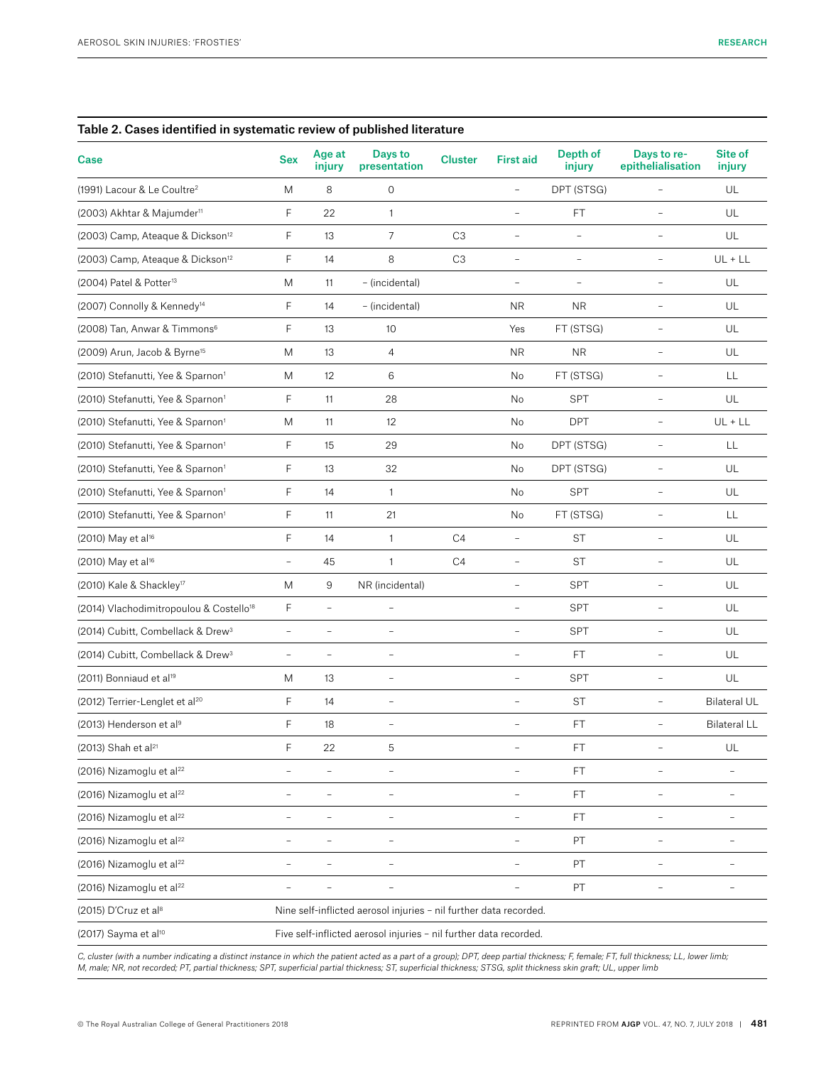| Table 2. Cases identified in systematic review of published literature |                                                                   |                          |                                                                   |                |                          |                          |                                  |                          |  |  |  |  |
|------------------------------------------------------------------------|-------------------------------------------------------------------|--------------------------|-------------------------------------------------------------------|----------------|--------------------------|--------------------------|----------------------------------|--------------------------|--|--|--|--|
| Case                                                                   | <b>Sex</b>                                                        | Age at<br>injury         | Days to<br>presentation                                           | <b>Cluster</b> | <b>First aid</b>         | Depth of<br>injury       | Days to re-<br>epithelialisation | Site of<br>injury        |  |  |  |  |
| (1991) Lacour & Le Coultre <sup>2</sup>                                | M                                                                 | 8                        | 0                                                                 |                | $\overline{a}$           | DPT (STSG)               | $\overline{a}$                   | UL                       |  |  |  |  |
| (2003) Akhtar & Majumder <sup>11</sup>                                 | F                                                                 | 22                       | $\mathbf{1}$                                                      |                | $\overline{\phantom{0}}$ | FT                       |                                  | UL                       |  |  |  |  |
| (2003) Camp, Ateaque & Dickson <sup>12</sup>                           | F                                                                 | 13                       | 7                                                                 | C <sub>3</sub> | $\overline{\phantom{a}}$ | $\overline{\phantom{a}}$ | $\overline{\phantom{0}}$         | UL                       |  |  |  |  |
| (2003) Camp, Ateaque & Dickson <sup>12</sup>                           | F                                                                 | 14                       | 8                                                                 | C <sub>3</sub> | $\overline{\phantom{a}}$ | $\overline{\phantom{a}}$ | $\overline{\phantom{0}}$         | $UL + LL$                |  |  |  |  |
| (2004) Patel & Potter <sup>13</sup>                                    | M                                                                 | 11                       | - (incidental)                                                    |                | $\overline{\phantom{0}}$ | $\overline{\phantom{a}}$ | $\overline{\phantom{a}}$         | UL                       |  |  |  |  |
| (2007) Connolly & Kennedy <sup>14</sup>                                | F                                                                 | 14                       | - (incidental)                                                    |                | <b>NR</b>                | <b>NR</b>                | $\overline{a}$                   | UL                       |  |  |  |  |
| (2008) Tan, Anwar & Timmons <sup>6</sup>                               | F                                                                 | 13                       | 10                                                                |                | Yes                      | FT (STSG)                |                                  | UL                       |  |  |  |  |
| (2009) Arun, Jacob & Byrne <sup>15</sup>                               | M                                                                 | 13                       | $\overline{4}$                                                    |                | <b>NR</b>                | <b>NR</b>                | L.                               | UL                       |  |  |  |  |
| (2010) Stefanutti, Yee & Sparnon <sup>1</sup>                          | M                                                                 | 12                       | 6                                                                 |                | No                       | FT (STSG)                |                                  | LL                       |  |  |  |  |
| (2010) Stefanutti, Yee & Sparnon <sup>1</sup>                          | F                                                                 | 11                       | 28                                                                |                | No                       | <b>SPT</b>               | $\qquad \qquad -$                | UL                       |  |  |  |  |
| (2010) Stefanutti, Yee & Sparnon <sup>1</sup>                          | M                                                                 | 11                       | 12                                                                |                | No                       | <b>DPT</b>               | $\frac{1}{2}$                    | $UL + LL$                |  |  |  |  |
| (2010) Stefanutti, Yee & Sparnon <sup>1</sup>                          | F                                                                 | 15                       | 29                                                                |                | No                       | DPT (STSG)               | $\overline{\phantom{0}}$         | LL                       |  |  |  |  |
| (2010) Stefanutti, Yee & Sparnon <sup>1</sup>                          | F                                                                 | 13                       | 32                                                                |                | No                       | DPT (STSG)               | $\qquad \qquad -$                | UL                       |  |  |  |  |
| (2010) Stefanutti, Yee & Sparnon <sup>1</sup>                          | F                                                                 | 14                       | $\mathbf{1}$                                                      |                | No                       | <b>SPT</b>               | $\rightarrow$                    | UL                       |  |  |  |  |
| (2010) Stefanutti, Yee & Sparnon <sup>1</sup>                          | F                                                                 | 11                       | 21                                                                |                | No                       | FT (STSG)                | $\overline{\phantom{0}}$         | LL                       |  |  |  |  |
| (2010) May et al <sup>16</sup>                                         | F                                                                 | 14                       | $\mathbf{1}$                                                      | C <sub>4</sub> | $\frac{1}{2}$            | <b>ST</b>                | $\overline{\phantom{a}}$         | UL                       |  |  |  |  |
| (2010) May et al <sup>16</sup>                                         | $\overline{\phantom{a}}$                                          | 45                       | $\mathbf{1}$                                                      | C4             | $\overline{\phantom{0}}$ | <b>ST</b>                | $\qquad \qquad -$                | UL                       |  |  |  |  |
| (2010) Kale & Shackley <sup>17</sup>                                   | M                                                                 | 9                        | NR (incidental)                                                   |                | $\overline{\phantom{0}}$ | SPT                      | $\overline{\phantom{0}}$         | UL                       |  |  |  |  |
| (2014) Vlachodimitropoulou & Costello <sup>18</sup>                    | F                                                                 | $\equiv$                 | $\overline{\phantom{a}}$                                          |                | $\overline{\phantom{0}}$ | <b>SPT</b>               | $\overline{\phantom{a}}$         | UL                       |  |  |  |  |
| (2014) Cubitt, Combellack & Drew <sup>3</sup>                          | $\sim$                                                            |                          | $\overline{\phantom{a}}$                                          |                | $\overline{\phantom{0}}$ | <b>SPT</b>               | ÷                                | UL                       |  |  |  |  |
| (2014) Cubitt, Combellack & Drew <sup>3</sup>                          | $\overline{\phantom{a}}$                                          | $\overline{\phantom{0}}$ | $\overline{a}$                                                    |                | $\overline{a}$           | FT                       | $\overline{\phantom{0}}$         | UL                       |  |  |  |  |
| (2011) Bonniaud et al <sup>19</sup>                                    | M                                                                 | 13                       | $\overline{\phantom{a}}$                                          |                | $\overline{\phantom{0}}$ | <b>SPT</b>               | $\overline{\phantom{a}}$         | UL                       |  |  |  |  |
| (2012) Terrier-Lenglet et al <sup>20</sup>                             | F                                                                 | 14                       | $\overline{\phantom{a}}$                                          |                | $\overline{\phantom{0}}$ | <b>ST</b>                | $\qquad \qquad -$                | <b>Bilateral UL</b>      |  |  |  |  |
| (2013) Henderson et al <sup>9</sup>                                    | F                                                                 | 18                       | $\overline{\phantom{a}}$                                          |                | $\overline{a}$           | FT                       | $\overline{\phantom{0}}$         | <b>Bilateral LL</b>      |  |  |  |  |
| (2013) Shah et al <sup>21</sup>                                        | F                                                                 | 22                       | 5                                                                 |                |                          | FT                       |                                  | UL                       |  |  |  |  |
| (2016) Nizamoglu et al <sup>22</sup>                                   |                                                                   | $\overline{a}$           | $\overline{\phantom{a}}$                                          |                |                          | FT                       |                                  |                          |  |  |  |  |
| (2016) Nizamoglu et al <sup>22</sup>                                   |                                                                   |                          |                                                                   |                |                          | FT.                      |                                  |                          |  |  |  |  |
| (2016) Nizamoglu et al <sup>22</sup>                                   |                                                                   |                          | ÷,                                                                |                | L,                       | <b>FT</b>                |                                  | $\overline{\phantom{a}}$ |  |  |  |  |
| (2016) Nizamoglu et al <sup>22</sup>                                   |                                                                   |                          | $\overline{\phantom{0}}$                                          |                | $\overline{a}$           | PT                       | $\overline{a}$                   | $\overline{\phantom{a}}$ |  |  |  |  |
| (2016) Nizamoglu et al <sup>22</sup>                                   |                                                                   |                          |                                                                   |                |                          | PT                       |                                  |                          |  |  |  |  |
| (2016) Nizamoglu et al <sup>22</sup>                                   | $\overline{\phantom{0}}$                                          |                          | $\overline{\phantom{a}}$                                          |                | $\overline{\phantom{0}}$ | PT                       |                                  | $\overline{\phantom{a}}$ |  |  |  |  |
| (2015) D'Cruz et al <sup>8</sup>                                       |                                                                   |                          | Nine self-inflicted aerosol injuries - nil further data recorded. |                |                          |                          |                                  |                          |  |  |  |  |
| (2017) Sayma et al <sup>10</sup>                                       | Five self-inflicted aerosol injuries - nil further data recorded. |                          |                                                                   |                |                          |                          |                                  |                          |  |  |  |  |

C, cluster (with a number indicating a distinct instance in which the patient acted as a part of a group); DPT, deep partial thickness; F, female; FT, full thickness; LL, lower limb;<br>M, male; NR, not recorded; PT, partial